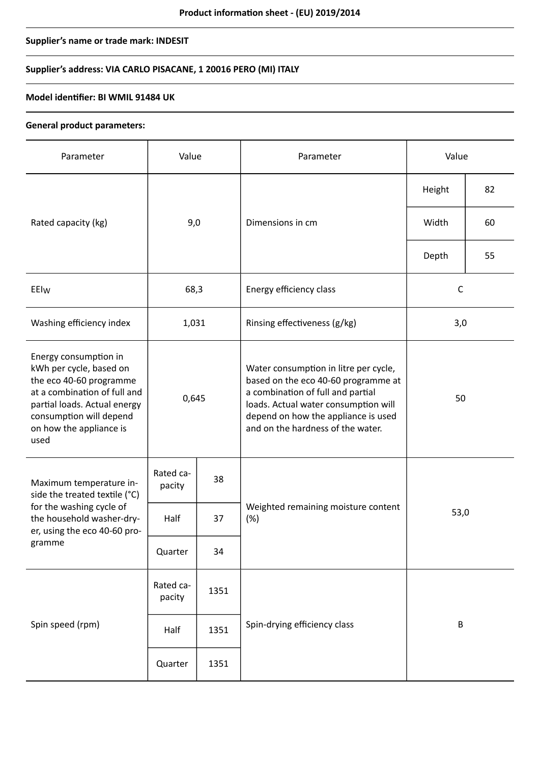# **Supplier's name or trade mark: INDESIT**

# **Supplier's address: VIA CARLO PISACANE, 1 20016 PERO (MI) ITALY**

### **Model identifier: BI WMIL 91484 UK**

#### **General product parameters:**

| Parameter                                                                                                                                                                                                 | Value               |      | Parameter                                                                                                                                                                                                                             | Value        |    |
|-----------------------------------------------------------------------------------------------------------------------------------------------------------------------------------------------------------|---------------------|------|---------------------------------------------------------------------------------------------------------------------------------------------------------------------------------------------------------------------------------------|--------------|----|
| Rated capacity (kg)                                                                                                                                                                                       | 9,0                 |      | Dimensions in cm                                                                                                                                                                                                                      | Height       | 82 |
|                                                                                                                                                                                                           |                     |      |                                                                                                                                                                                                                                       | Width        | 60 |
|                                                                                                                                                                                                           |                     |      |                                                                                                                                                                                                                                       | Depth        | 55 |
| EEIw                                                                                                                                                                                                      | 68,3                |      | Energy efficiency class                                                                                                                                                                                                               | $\mathsf{C}$ |    |
| Washing efficiency index                                                                                                                                                                                  | 1,031               |      | Rinsing effectiveness (g/kg)                                                                                                                                                                                                          | 3,0          |    |
| Energy consumption in<br>kWh per cycle, based on<br>the eco 40-60 programme<br>at a combination of full and<br>partial loads. Actual energy<br>consumption will depend<br>on how the appliance is<br>used | 0,645               |      | Water consumption in litre per cycle,<br>based on the eco 40-60 programme at<br>a combination of full and partial<br>loads. Actual water consumption will<br>depend on how the appliance is used<br>and on the hardness of the water. | 50           |    |
| Maximum temperature in-<br>side the treated textile (°C)<br>for the washing cycle of<br>the household washer-dry-<br>er, using the eco 40-60 pro-<br>gramme                                               | Rated ca-<br>pacity | 38   |                                                                                                                                                                                                                                       | 53,0         |    |
|                                                                                                                                                                                                           | Half                | 37   | Weighted remaining moisture content<br>(%)                                                                                                                                                                                            |              |    |
|                                                                                                                                                                                                           | Quarter             | 34   |                                                                                                                                                                                                                                       |              |    |
| Spin speed (rpm)                                                                                                                                                                                          | Rated ca-<br>pacity | 1351 |                                                                                                                                                                                                                                       | $\sf B$      |    |
|                                                                                                                                                                                                           | Half                | 1351 | Spin-drying efficiency class                                                                                                                                                                                                          |              |    |
|                                                                                                                                                                                                           | Quarter             | 1351 |                                                                                                                                                                                                                                       |              |    |